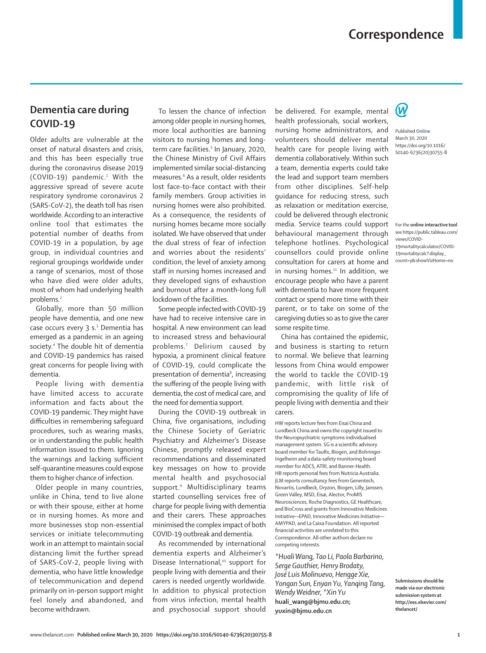## **Correspondence**

## **Dementia care during COVID-19**

Older adults are vulnerable at the onset of natural disasters and crisis, and this has been especially true during the coronavirus disease 2019 (COVID-19) pandemic.<sup>1</sup> With the aggressive spread of severe acute respiratory syndrome coronavirus 2 (SARS-CoV-2), the death toll has risen worldwide. According to an interactive online [tool](https://public.tableau.com/views/COVID-19mortalitycalculator/COVID-19mortalitycalc?:display_count=y&:showVizHome=no) that estimates the potential number of deaths from COVID-19 in a population, by age group, in individual countries and regional groupings worldwide under a range of scenarios, most of those who have died were older adults. most of whom had underlying health problems.<sup>2</sup>

Globally, more than 50 million people have dementia, and one new case occurs every 3 s.<sup>3</sup> Dementia has emerged as a pandemic in an ageing society.4 The double hit of dementia and COVID-19 pandemics has raised great concerns for people living with dementia.

People living with dementia have limited access to accurate information and facts about the COVID-19 pandemic. They might have difficulties in remembering safeguard procedures, such as wearing masks, or in understanding the public health information issued to them. Ignoring the warnings and lacking sufficient self-quarantine measures could expose them to higher chance of infection.

Older people in many countries, unlike in China, tend to live alone or with their spouse, either at home or in nursing homes. As more and more businesses stop non-essential services or initiate telecommuting work in an attempt to maintain social distancing limit the further spread of SARS-CoV-2, people living with dementia, who have little knowledge of telecommunication and depend primarily on in-person support might feel lonely and abandoned, and become withdrawn.

To lessen the chance of infection among older people in nursing homes, more local authorities are banning visitors to nursing homes and longterm care facilities.<sup>5</sup> In January, 2020, the Chinese Ministry of Civil Affairs implemented similar social-distancing measures.6 As a result, older residents lost face-to-face contact with their family members. Group activities in nursing homes were also prohibited. As a consequence, the residents of nursing homes became more socially isolated. We have observed that under the dual stress of fear of infection and worries about the residents' condition, the level of anxiety among staff in nursing homes increased and they developed signs of exhaustion and burnout after a month-long full lockdown of the facilities.

Some people infected with COVID-19 have had to receive intensive care in hospital. A new environment can lead to increased stress and behavioural problems.7 Delirium caused by hypoxia, a prominent clinical feature of COVID-19, could complicate the presentation of dementia<sup>8</sup>, increasing the suffering of the people living with dementia, the cost of medical care, and the need for dementia support.

During the COVID-19 outbreak in China, five organisations, including the Chinese Society of Geriatric Psychiatry and Alzheimer's Disease Chinese, promptly released expert recommendations and disseminated key messages on how to provide mental health and psychosocial support.9 Multidisciplinary teams started counselling services free of charge for people living with dementia and their carers. These approaches minimised the complex impact of both COVID-19 outbreak and dementia.

As recommended by international dementia experts and Alzheimer's Disease International,<sup>10</sup> support for people living with dementia and their carers is needed urgently worldwide. In addition to physical protection from virus infection, mental health and psychosocial support should

be delivered. For example, mental health professionals, social workers, nursing home administrators, and volunteers should deliver mental health care for people living with dementia collaboratively. Within such a team, dementia experts could take the lead and support team members from other disciplines. Self-help guidance for reducing stress, such as relaxation or meditation exercise, could be delivered through electronic media. Service teams could support behavioural management through telephone hotlines. Psychological counsellors could provide online consultation for carers at home and in nursing homes.<sup>11</sup> In addition, we encourage people who have a parent with dementia to have more frequent contact or spend more time with their parent, or to take on some of the caregiving duties so as to give the carer some respite time.

China has contained the epidemic, and business is starting to return to normal. We believe that learning lessons from China would empower the world to tackle the COVID-19 pandemic, with little risk of compromising the quality of life of people living with dementia and their carers.

HW reports lecture fees from Eisai China and Lundbeck China and owns the copyright issued to the Neuropsychiatric symptoms individualised management system. SG is a scientific advisory board member for TauRx, Biogen, and Bohringer-Ingelheim and a data-safety monitoring board member for ADCS, ATRI, and Banner-Health. HB reports personal fees from Nutricia Australia. JLM reports consultancy fees from Genentech, Novartis, Lundbeck, Oryzon, Biogen, Lilly, Janssen, Green Valley, MSD, Eisai, Alector, ProMIS Neurosciences, Roche Diagnostics, GE Healthcare, and BioCross and grants from Innovative Medicines Initiative—EPAD, Innovative Medicines Initiative— AMYPAD, and La Caixa Foundation. All reported financial activities are unrelated to this Correspondence. All other authors declare no competing interests.

*\*Huali Wang, Tao Li, Paola Barbarino, Serge Gauthier, Henry Brodaty, José Luis Molinuevo, Hengge Xie, Yongan Sun, Enyan Yu, Yanqing Tang, Wendy Weidner, \*Xin Yu* **huali\_wang@bjmu.edu.cn; yuxin@bjmu.edu.cn**



Published **Online** March 30, 2020 https://doi.org/10.1016/ S0140-6736(20)30755-8

For the **online interactive tool**  see [https://public.tableau.com/](https://public.tableau.com/views/COVID-19mortalitycalculator/COVID-19mortalitycalc?:display_count=y&:showVizHome=no) [views/COVID-](https://public.tableau.com/views/COVID-19mortalitycalculator/COVID-19mortalitycalc?:display_count=y&:showVizHome=no)[19mortalitycalculator/COVID-](https://public.tableau.com/views/COVID-19mortalitycalculator/COVID-19mortalitycalc?:display_count=y&:showVizHome=no)[19mortalitycalc?:display\\_](https://public.tableau.com/views/COVID-19mortalitycalculator/COVID-19mortalitycalc?:display_count=y&:showVizHome=no) [count=y&:showVizHome=no](https://public.tableau.com/views/COVID-19mortalitycalculator/COVID-19mortalitycalc?:display_count=y&:showVizHome=no)

**Submissions should be made via our electronic submission system at http://ees.elsevier.com/**

**thelancet/**